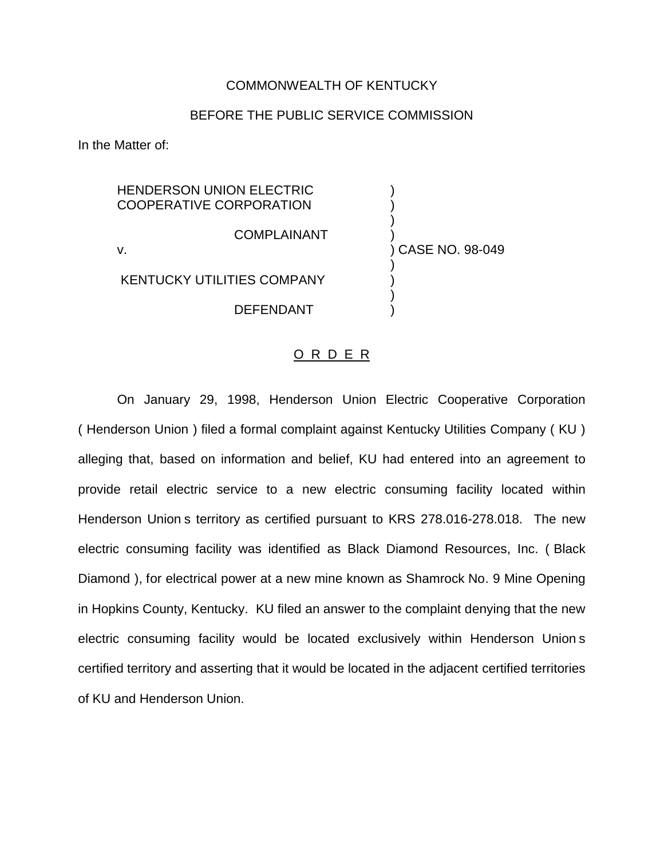## COMMONWEALTH OF KENTUCKY

## BEFORE THE PUBLIC SERVICE COMMISSION

In the Matter of:

**HENDERSON UNION ELECTRIC** COOPERATIVE CORPORATION ) ) **COMPLAINANT** v. ) CASE NO. 98-049 ) KENTUCKY UTILITIES COMPANY ) ) **DEFENDANT** 

## O R D E R

On January 29, 1998, Henderson Union Electric Cooperative Corporation ( Henderson Union ) filed a formal complaint against Kentucky Utilities Company ( KU ) alleging that, based on information and belief, KU had entered into an agreement to provide retail electric service to a new electric consuming facility located within Henderson Union s territory as certified pursuant to KRS 278.016-278.018. The new electric consuming facility was identified as Black Diamond Resources, Inc. ( Black Diamond ), for electrical power at a new mine known as Shamrock No. 9 Mine Opening in Hopkins County, Kentucky. KU filed an answer to the complaint denying that the new electric consuming facility would be located exclusively within Henderson Union s certified territory and asserting that it would be located in the adjacent certified territories of KU and Henderson Union.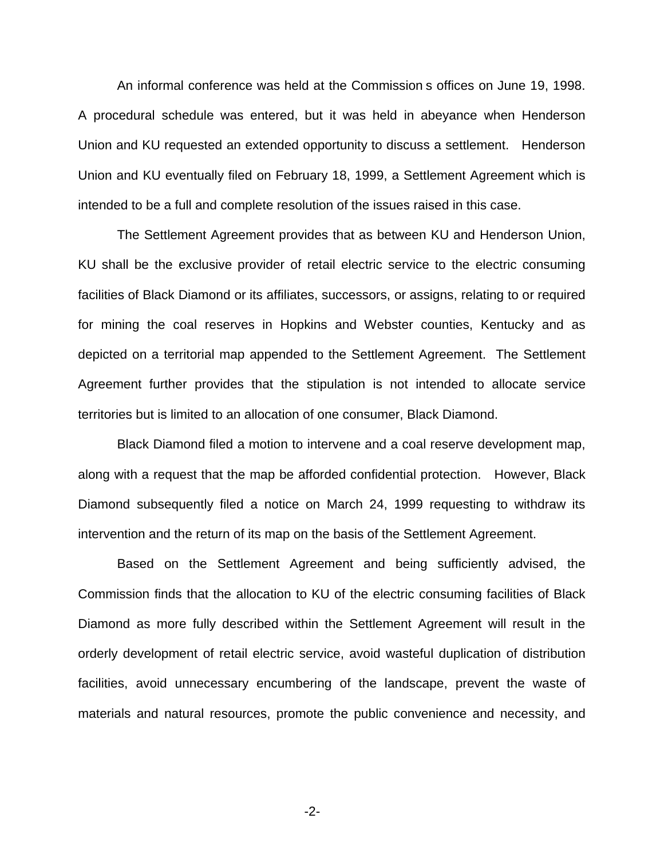An informal conference was held at the Commission s offices on June 19, 1998. A procedural schedule was entered, but it was held in abeyance when Henderson Union and KU requested an extended opportunity to discuss a settlement. Henderson Union and KU eventually filed on February 18, 1999, a Settlement Agreement which is intended to be a full and complete resolution of the issues raised in this case.

The Settlement Agreement provides that as between KU and Henderson Union, KU shall be the exclusive provider of retail electric service to the electric consuming facilities of Black Diamond or its affiliates, successors, or assigns, relating to or required for mining the coal reserves in Hopkins and Webster counties, Kentucky and as depicted on a territorial map appended to the Settlement Agreement. The Settlement Agreement further provides that the stipulation is not intended to allocate service territories but is limited to an allocation of one consumer, Black Diamond.

Black Diamond filed a motion to intervene and a coal reserve development map, along with a request that the map be afforded confidential protection. However, Black Diamond subsequently filed a notice on March 24, 1999 requesting to withdraw its intervention and the return of its map on the basis of the Settlement Agreement.

Based on the Settlement Agreement and being sufficiently advised, the Commission finds that the allocation to KU of the electric consuming facilities of Black Diamond as more fully described within the Settlement Agreement will result in the orderly development of retail electric service, avoid wasteful duplication of distribution facilities, avoid unnecessary encumbering of the landscape, prevent the waste of materials and natural resources, promote the public convenience and necessity, and

-2-